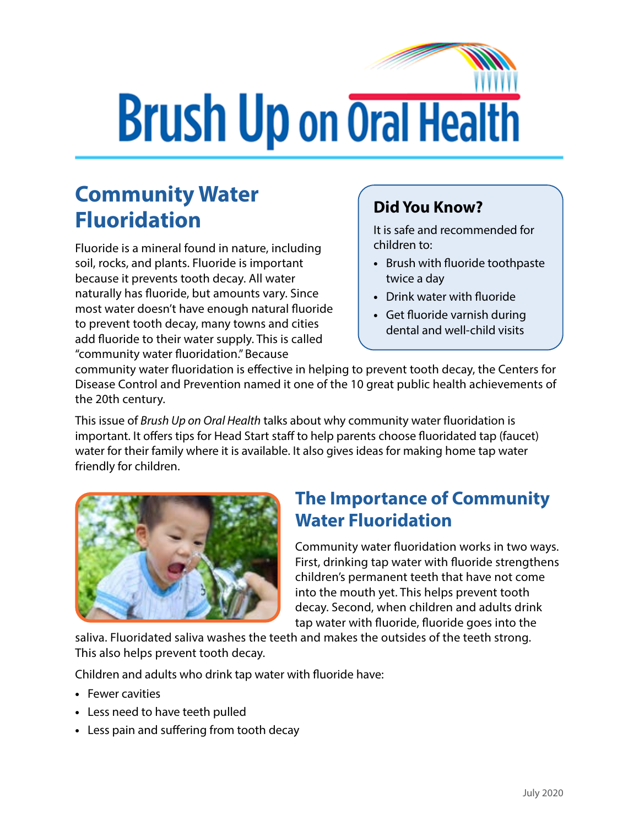# **Brush Up on Oral Health**

## **Community Water Fluoridation Did You Know?**

Fluoride is a mineral found in nature, including soil, rocks, and plants. Fluoride is important because it prevents tooth decay. All water naturally has fluoride, but amounts vary. Since most water doesn't have enough natural fluoride to prevent tooth decay, many towns and cities add fluoride to their water supply. This is called "community water fluoridation." Because

It is safe and recommended for children to:

- **•** Brush with fluoride toothpaste twice a day
- **•** Drink water with fluoride
- **•** Get fluoride varnish during dental and well-child visits

community water fluoridation is effective in helping to prevent tooth decay, the Centers for Disease Control and Prevention named it one of the 10 great public health achievements of the 20th century.

This issue of *Brush Up on Oral Health* talks about why community water fluoridation is important. It offers tips for Head Start staff to help parents choose fluoridated tap (faucet) water for their family where it is available. It also gives ideas for making home tap water friendly for children.



#### **The Importance of Community Water Fluoridation**

Community water fluoridation works in two ways. First, drinking tap water with fluoride strengthens children's permanent teeth that have not come into the mouth yet. This helps prevent tooth decay. Second, when children and adults drink tap water with fluoride, fluoride goes into the

saliva. Fluoridated saliva washes the teeth and makes the outsides of the teeth strong. This also helps prevent tooth decay.

Children and adults who drink tap water with fluoride have:

- **•** Fewer cavities
- **•** Less need to have teeth pulled
- **•** Less pain and suffering from tooth decay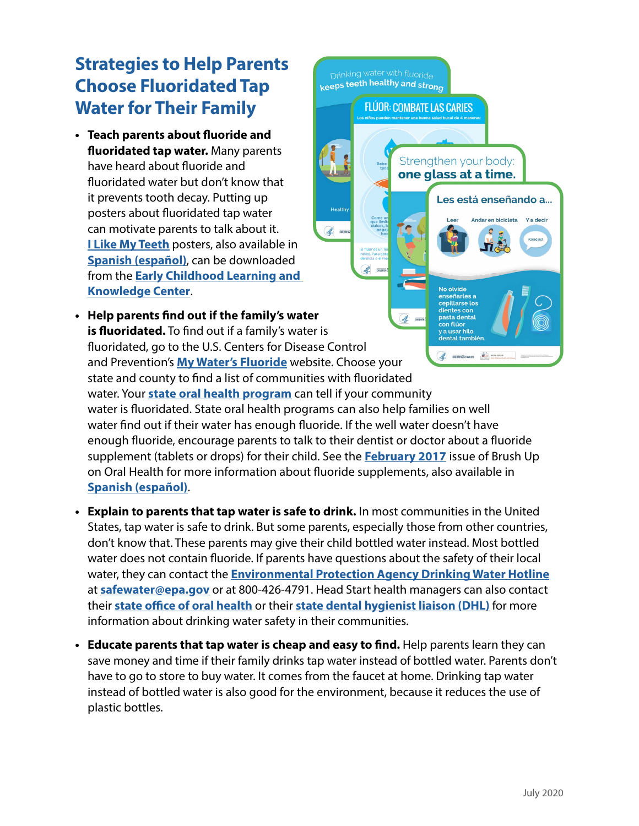#### **Strategies to Help Parents Choose Fluoridated Tap Water for Their Family**

- **• Teach parents about fluoride and fluoridated tap water.** Many parents have heard about fluoride and fluoridated water but don't know that it prevents tooth decay. Putting up posters about fluoridated tap water can motivate parents to talk about it. **[I Like My Teeth](https://eclkc.ohs.acf.hhs.gov/oral-health/article/i-my-teeth-fluoride-posters)** posters, also available in **[Spanish \(español\)](https://eclkc.ohs.acf.hhs.gov/es/salud-oral/articulo/posteres-sobre-el-fluor-me-gustan-mis-dientes)**, can be downloaded from the **[Early Childhood Learning and](https://eclkc.ohs.acf.hhs.gov/)  [Knowledge Center](https://eclkc.ohs.acf.hhs.gov/)**.
- **• Help parents find out if the family's water**   $\mathscr{A}$ pasta denta on flúoi **is fluoridated.** To find out if a family's water is  $\overline{a}$  usar hilo ntal también fluoridated, go to the U.S. Centers for Disease Control **COLLEGE DE CALERANDES** and Prevention's **[My Water's Fluoride](https://nccd.cdc.gov/DOH_MWF/Default/Default.aspx)** website. Choose your state and county to find a list of communities with fluoridated water. Your **[state oral health program](https://www.astdd.org/state-programs/)** can tell if your community water is fluoridated. State oral health programs can also help families on well water find out if their water has enough fluoride. If the well water doesn't have enough fluoride, encourage parents to talk to their dentist or doctor about a fluoride supplement (tablets or drops) for their child. See the **[February 2017](https://eclkc.ohs.acf.hhs.gov/sites/default/files/pdf/buoh-2017-02.pdf)** issue of Brush Up on Oral Health for more information about fluoride supplements, also available in **[Spanish \(español\)](https://eclkc.ohs.acf.hhs.gov/sites/default/files/pdf/buoh-2017-02-esp.pdf)**.

Health

K.

 $\mathscr{A}$ 

Drinking water with fluoride keeps teeth healthy and strong

**FLÚOR: COMBATE LAS CARIES** 

Strengthen your body: one glass at a time.

> No olvide enseñarles a<br>cepillarse los

Les está enseñando a...

Andar en hicicleta

- **• Explain to parents that tap water is safe to drink.** In most communities in the United States, tap water is safe to drink. But some parents, especially those from other countries, don't know that. These parents may give their child bottled water instead. Most bottled water does not contain fluoride. If parents have questions about the safety of their local water, they can contact the **[Environmental Protection Agency Drinking Water Hotline](https://www.epa.gov/home/epa-hotlines)** at **[safewater@epa.gov](mailto:safewater@epa.gov)** or at 800-426-4791. Head Start health managers can also contact their **[state office of oral health](https://www.astdd.org/state-programs/)** or their **[state dental hygienist liaison \(DHL\)](https://www.astdd.org/docs/dhl-contact-list-by-state.pdf)** for more information about drinking water safety in their communities.
- **• Educate parents that tap water is cheap and easy to find.** Help parents learn they can save money and time if their family drinks tap water instead of bottled water. Parents don't have to go to store to buy water. It comes from the faucet at home. Drinking tap water instead of bottled water is also good for the environment, because it reduces the use of plastic bottles.